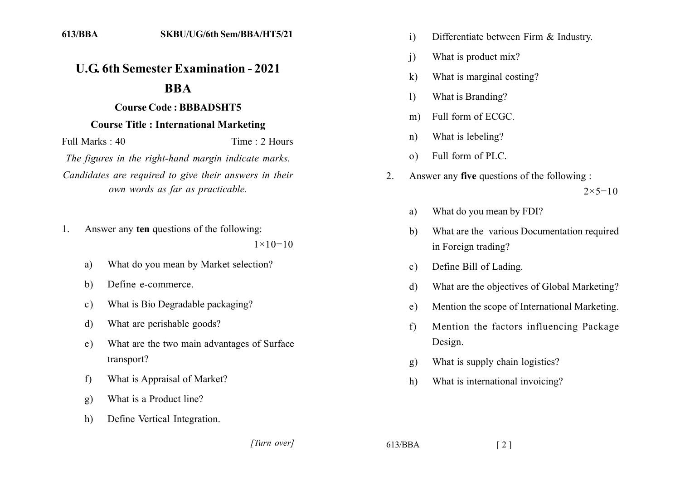## **U.G. 6th Semester Examination - 2021**

## **BBA**

## **Course Code: BBBADSHT5**

## **Course Title: International Marketing**

Full Marks  $\cdot$  40 Time  $\cdot$  2 Hours

The figures in the right-hand margin indicate marks. Candidates are required to give their answers in their own words as far as practicable.

Answer any ten questions of the following:  $\mathbf{1}$ .

 $1 \times 10 = 10$ 

- What do you mean by Market selection?  $a)$
- Define e-commerce  $h)$
- What is Bio Degradable packaging?  $c)$
- What are perishable goods?  $\mathbf{d}$
- What are the two main advantages of Surface e) transport?
- What is Appraisal of Market?  $f$
- What is a Product line?  $g)$
- Define Vertical Integration.  $h)$
- $\overline{1}$ Differentiate between Firm & Industry.
- What is product mix?  $\mathbf{i}$
- What is marginal costing?  $\mathbf{k}$
- What is Branding?  $\left| \right|$
- Full form of ECGC.  $m)$
- What is lebeling?  $n)$
- Full form of PLC.  $\Omega$
- $\overline{2}$ . Answer any five questions of the following :  $2 \times 5 = 10$ 
	- What do you mean by FDI? a)
	- What are the various Documentation required b) in Foreign trading?
	- Define Bill of Lading.  $\mathbf{c}$ )
	- What are the objectives of Global Marketing?  $\mathbf{d}$
	- Mention the scope of International Marketing.  $e)$
	- $f$ Mention the factors influencing Package Design.
	- What is supply chain logistics? g)
	- What is international invoicing?  $h)$

[Turn over]

 $613/BBA$